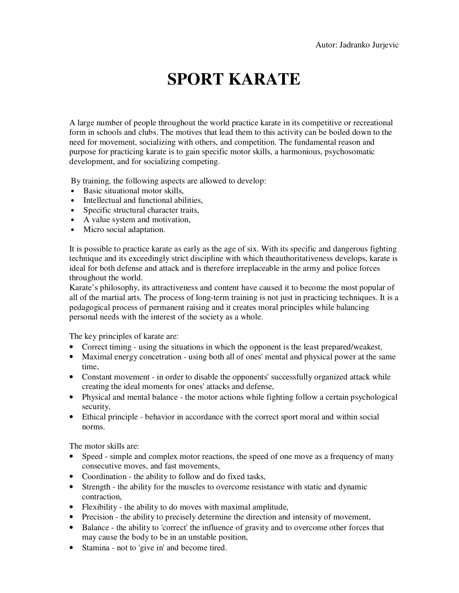## **SPORT KARATE**

A large number of people throughout the world practice karate in its competitive or recreational form in schools and clubs. The motives that lead them to this activity can be boiled down to the need for movement, socializing with others, and competition. The fundamental reason and purpose for practicing karate is to gain specific motor skills, a harmonious, psychosomatic development, and for socializing competing.

By training, the following aspects are allowed to develop:

- Basic situational motor skills,
- Intellectual and functional abilities,
- Specific structural character traits,
- A value system and motivation,
- Micro social adaptation.

It is possible to practice karate as early as the age of six. With its specific and dangerous fighting technique and its exceedingly strict discipline with which theauthoritativeness develops, karate is ideal for both defense and attack and is therefore irreplaceable in the army and police forces throughout the world.

Karate's philosophy, its attractiveness and content have caused it to become the most popular of all of the martial arts. The process of long-term training is not just in practicing techniques. It is a pedagogical process of permanent raising and it creates moral principles while balancing personal needs with the interest of the society as a whole.

The key principles of karate are:

- Correct timing using the situations in which the opponent is the least prepared/weakest,
- Maximal energy concetration using both all of ones' mental and physical power at the same time,
- Constant movement in order to disable the opponents' successfully organized attack while creating the ideal moments for ones' attacks and defense,
- Physical and mental balance the motor actions while fighting follow a certain psychological security,
- Ethical principle behavior in accordance with the correct sport moral and within social norms.

The motor skills are:

- Speed simple and complex motor reactions, the speed of one move as a frequency of many consecutive moves, and fast movements,
- Coordination the ability to follow and do fixed tasks,
- Strength the ability for the muscles to overcome resistance with static and dynamic contraction,
- Flexibility the ability to do moves with maximal amplitude,
- Precision the ability to precisely determine the direction and intensity of movement,
- Balance the ability to 'correct' the influence of gravity and to overcome other forces that may cause the body to be in an unstable position,
- Stamina not to 'give in' and become tired.